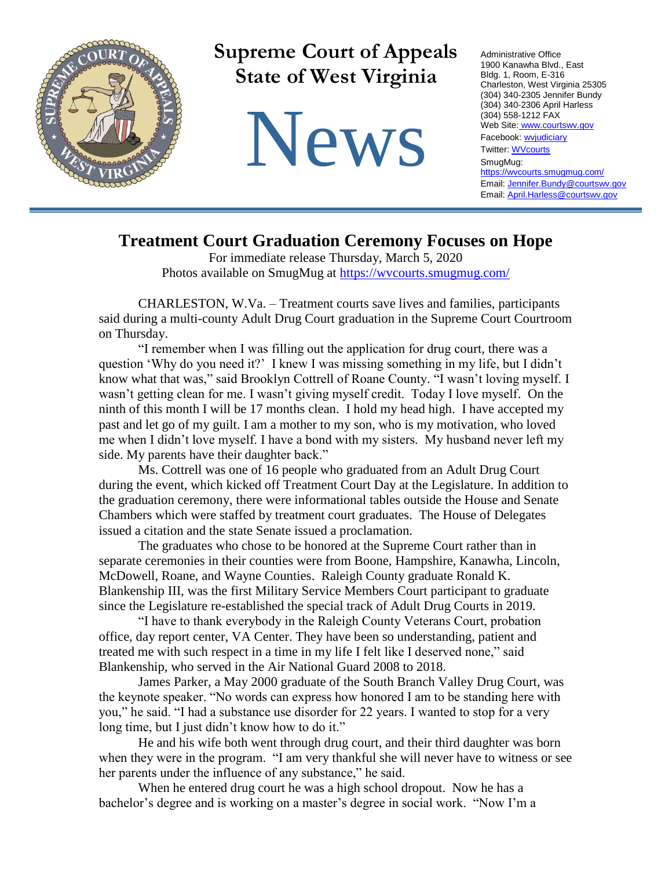

## **Treatment Court Graduation Ceremony Focuses on Hope**

For immediate release Thursday, March 5, 2020 Photos available on SmugMug at<https://wvcourts.smugmug.com/>

CHARLESTON, W.Va. – Treatment courts save lives and families, participants said during a multi-county Adult Drug Court graduation in the Supreme Court Courtroom on Thursday.

"I remember when I was filling out the application for drug court, there was a question 'Why do you need it?' I knew I was missing something in my life, but I didn't know what that was," said Brooklyn Cottrell of Roane County. "I wasn't loving myself. I wasn't getting clean for me. I wasn't giving myself credit. Today I love myself. On the ninth of this month I will be 17 months clean. I hold my head high. I have accepted my past and let go of my guilt. I am a mother to my son, who is my motivation, who loved me when I didn't love myself. I have a bond with my sisters. My husband never left my side. My parents have their daughter back."

Ms. Cottrell was one of 16 people who graduated from an Adult Drug Court during the event, which kicked off Treatment Court Day at the Legislature. In addition to the graduation ceremony, there were informational tables outside the House and Senate Chambers which were staffed by treatment court graduates. The House of Delegates issued a citation and the state Senate issued a proclamation.

The graduates who chose to be honored at the Supreme Court rather than in separate ceremonies in their counties were from Boone, Hampshire, Kanawha, Lincoln, McDowell, Roane, and Wayne Counties. Raleigh County graduate Ronald K. Blankenship III, was the first Military Service Members Court participant to graduate since the Legislature re-established the special track of Adult Drug Courts in 2019.

"I have to thank everybody in the Raleigh County Veterans Court, probation office, day report center, VA Center. They have been so understanding, patient and treated me with such respect in a time in my life I felt like I deserved none," said Blankenship, who served in the Air National Guard 2008 to 2018.

James Parker, a May 2000 graduate of the South Branch Valley Drug Court, was the keynote speaker. "No words can express how honored I am to be standing here with you," he said. "I had a substance use disorder for 22 years. I wanted to stop for a very long time, but I just didn't know how to do it."

He and his wife both went through drug court, and their third daughter was born when they were in the program. "I am very thankful she will never have to witness or see her parents under the influence of any substance," he said.

When he entered drug court he was a high school dropout. Now he has a bachelor's degree and is working on a master's degree in social work. "Now I'm a